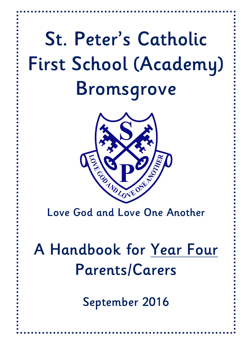# **St. Peter's Catholic First School (Academy) Bromsgrove**



**Love God and Love One Another**

# **A Handbook for Year Four Parents/Carers**

**September 2016**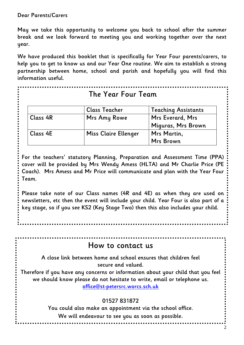$\ddot{\phantom{0}}$ 

**May we take this opportunity to welcome you back to school after the summer break and we look forward to meeting you and working together over the next year.**

**We have produced this booklet that is specifically for Year Four parents/carers, to help you to get to know us and our Year One routine. We aim to establish a strong partnership between home, school and parish and hopefully you will find this information useful.**

|          | The Year Four Team   |                            |
|----------|----------------------|----------------------------|
|          | <b>Class Teacher</b> | <b>Teaching Assistants</b> |
| Class 4R | <b>Mrs Amy Rowe</b>  | Mrs Everard, Mrs           |
|          |                      | Miguras, Mrs Brown         |
| Class 4E | Miss Claire Ellenger | Mrs Martin,                |
|          |                      | <b>Mrs Brown</b>           |

**For the teachers' statutory Planning, Preparation and Assessment Time (PPA) cover will be provided by Mrs Wendy Amess (HLTA) and Mr Charlie Price (PE Coach). Mrs Amess and Mr Price will communicate and plan with the Year Four Team.** 

**Please take note of our Class names (4R and 4E) as when they are used on newsletters, etc then the event will include your child. Year Four is also part of a key stage, so if you see KS2 (Key Stage Two) then this also includes your child.**

**How to contact us**

**A close link between home and school ensures that children feel secure and valued.** 

**Therefore if you have any concerns or information about your child that you feel we should know please do not hesitate to write, email or telephone us. [office@st-petersrc.worcs.sch.uk](mailto:office@st-petersrc.worcs.sch.uk)**

#### **01527 831872**

**You could also make an appointment via the school office. We will endeavour to see you as soon as possible.**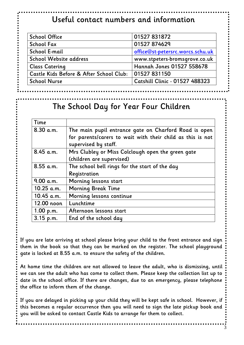# **Useful contact numbers and information**

| <b>School Office</b>                    | 01527 831872                     |
|-----------------------------------------|----------------------------------|
| <b>School Fax</b>                       | 01527 874629                     |
| School E-mail                           | office@st-petersrc.worcs.schu.uk |
| School Website address                  | www.stpeters-bromsgrove.co.uk    |
| <b>Class Catering</b>                   | <b>Hannah Jones 01527 558678</b> |
| Castle Kids Before & After School Club: | 01527 831150                     |
| <b>School Nurse</b>                     | Catshill Clinic - 01527 488323   |

# **The School Day for Year Four Children**

| Time        |                                                            |
|-------------|------------------------------------------------------------|
| 8.30 a.m.   | The main pupil entrance gate on Charford Road is open      |
|             | for parents/carers to wait with their child as this is not |
|             | supervised by staff.                                       |
| 8.45 a.m.   | Mrs Clubley or Miss Colclough open the green gate          |
|             | (children are supervised)                                  |
| 8.55 a.m.   | The school bell rings for the start of the day             |
|             | Registration                                               |
| 9.00 a.m.   | Morning lessons start                                      |
| 10.25 a.m.  | <b>Morning Break Time</b>                                  |
| 10.45 a.m.  | Morning lessons continue                                   |
| 12.00 noon  | Lunchtime                                                  |
| 1.00 p.m.   | Afternoon lessons start                                    |
| $3.15$ p.m. | End of the school day                                      |

**If you are late arriving at school please bring your child to the front entrance and sign them in the book so that they can be marked on the register. The school playground gate is locked at 8.55 a.m. to ensure the safety of the children.** 

**At home time the children are not allowed to leave the adult, who is dismissing, until we can see the adult who has come to collect them. Please keep the collection list up to date in the school office. If there are changes, due to an emergency, please telephone the office to inform them of the change.**

**If you are delayed in picking up your child they will be kept safe in school. However, if this becomes a regular occurrence then you will need to sign the late pickup book and you will be asked to contact Castle Kids to arrange for them to collect.** 

3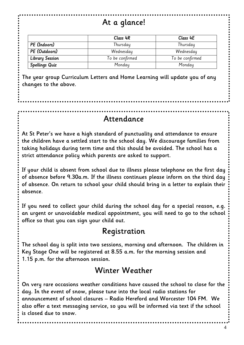# **At a glance!**

|                        | Class 4R        | Class 4E        |
|------------------------|-----------------|-----------------|
| PE (Indoors)           | Thursday        | Thursday        |
| PE (Outdoors)          | Wednesday       | Wednesday       |
| <b>Library Session</b> | To be confirmed | To be confirmed |
| <b>Spellings Quiz</b>  | Monday          | Monday          |

**The year group Curriculum Letters and Home Learning will update you of any changes to the above.** 

#### **Attendance**

**At St Peter's we have a high standard of punctuality and attendance to ensure the children have a settled start to the school day. We discourage families from taking holidays during term time and this should be avoided. The school has a strict attendance policy which parents are asked to support.**

**If your child is absent from school due to illness please telephone on the first day of absence before 9.30a.m. If the illness continues please inform on the third day of absence. On return to school your child should bring in a letter to explain their absence.** 

**If you need to collect your child during the school day for a special reason, e.g. an urgent or unavoidable medical appointment, you will need to go to the school office so that you can sign your child out.** 

# **Registration**

**The school day is split into two sessions, morning and afternoon. The children in Key Stage One will be registered at 8.55 a.m. for the morning session and 1.15 p.m. for the afternoon session.**

# **Winter Weather**

**On very rare occasions weather conditions have caused the school to close for the day. In the event of snow, please tune into the local radio stations for announcement of school closures – Radio Hereford and Worcester 104 FM. We also offer a text messaging service, so you will be informed via text if the school is closed due to snow.**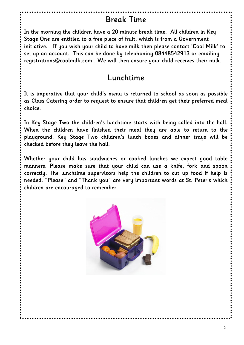## **Break Time**

**In the morning the children have a 20 minute break time. All children in Key Stage One are entitled to a free piece of fruit, which is from a Government initiative. If you wish your child to have milk then please contact 'Cool Milk' to set up an account. This can be done by telephoning 08448542913 or emailing registrations@coolmilk.com . We will then ensure your child receives their milk.**

## **Lunchtime**

**It is imperative that your child's menu is returned to school as soon as possible as Class Catering order to request to ensure that children get their preferred meal choice.** 

**In Key Stage Two the children's lunchtime starts with being called into the hall. When the children have finished their meal they are able to return to the playground. Key Stage Two children's lunch boxes and dinner trays will be checked before they leave the hall.**

**Whether your child has sandwiches or cooked lunches we expect good table manners. Please make sure that your child can use a knife, fork and spoon correctly. The lunchtime supervisors help the children to cut up food if help is needed. "Please" and "Thank you" are very important words at St. Peter's which children are encouraged to remember.** 

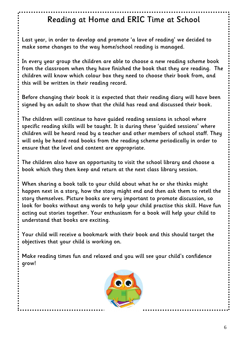# **Reading at Home and ERIC Time at School**

**Last year, in order to develop and promote 'a love of reading' we decided to make some changes to the way home/school reading is managed.**

**In every year group the children are able to choose a new reading scheme book from the classroom when they have finished the book that they are reading. The children will know which colour box they need to choose their book from, and this will be written in their reading record.** 

**Before changing their book it is expected that their reading diary will have been signed by an adult to show that the child has read and discussed their book.**

**The children will continue to have guided reading sessions in school where specific reading skills will be taught. It is during these 'guided sessions' where children will be heard read by a teacher and other members of school staff. They will only be heard read books from the reading scheme periodically in order to ensure that the level and content are appropriate.**

**The children also have an opportunity to visit the school library and choose a book which they then keep and return at the next class library session.**

**When sharing a book talk to your child about what he or she thinks might happen next in a story, how the story might end and then ask them to retell the story themselves. Picture books are very important to promote discussion, so look for books without any words to help your child practise this skill. Have fun acting out stories together. Your enthusiasm for a book will help your child to understand that books are exciting.** 

**Your child will receive a bookmark with their book and this should target the objectives that your child is working on.** 

**Make reading times fun and relaxed and you will see your child's confidence grow!**

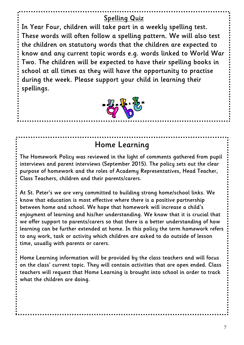#### **Spelling Quiz**

**In Year Four, children will take part in a weekly spelling test. These words will often follow a spelling pattern. We will also test the children on statutory words that the children are expected to know and any current topic words e.g. words linked to World War Two. The children will be expected to have their spelling books in school at all times as they will have the opportunity to practise during the week. Please support your child in learning their spellings.** 



# **Home Learning**

**The Homework Policy was reviewed in the light of comments gathered from pupil interviews and parent interviews (September 2015). The policy sets out the clear purpose of homework and the roles of Academy Representatives, Head Teacher, Class Teachers, children and their parents/carers.** 

**At St. Peter's we are very committed to building strong home/school links. We know that education is most effective where there is a positive partnership between home and school. We hope that homework will increase a child's enjoyment of learning and his/her understanding. We know that it is crucial that we offer support to parents/carers so that there is a better understanding of how learning can be further extended at home. In this policy the term homework refers to any work, task or activity which children are asked to do outside of lesson time, usually with parents or carers.** 

**Home Learning information will be provided by the class teachers and will focus on the class' current topic. They will contain activities that are open ended. Class teachers will request that Home Learning is brought into school in order to track what the children are doing.**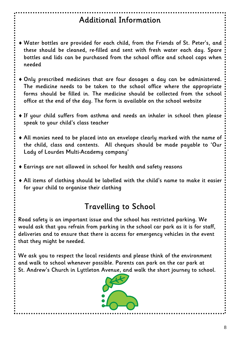# **Additional Information**

- **Water bottles are provided for each child, from the Friends of St. Peter's, and these should be cleaned, re-filled and sent with fresh water each day. Spare bottles and lids can be purchased from the school office and school caps when needed**
- **Only prescribed medicines that are four dosages a day can be administered. The medicine needs to be taken to the school office where the appropriate forms should be filled in. The medicine should be collected from the school office at the end of the day. The form is available on the school website**
- **If your child suffers from asthma and needs an inhaler in school then please speak to your child's class teacher**
- **All monies need to be placed into an envelope clearly marked with the name of the child, class and contents. All cheques should be made payable to 'Our Lady of Lourdes Multi-Academy company'**
- **Earrings are not allowed in school for health and safety reasons**
- **All items of clothing should be labelled with the child's name to make it easier for your child to organise their clothing**

# **Travelling to School**

**Road safety is an important issue and the school has restricted parking. We would ask that you refrain from parking in the school car park as it is for staff, deliveries and to ensure that there is access for emergency vehicles in the event that they might be needed.** 

**We ask you to respect the local residents and please think of the environment and walk to school whenever possible. Parents can park on the car park at St. Andrew's Church in Lyttleton Avenue, and walk the short journey to school.** 

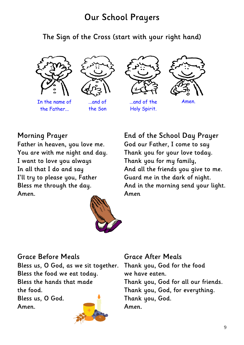# **Our School Prayers**

# **The Sign of the Cross (start with your right hand)**





In the name of the Father...

...and of the Son



...and of the Holy Spirit.



Amen.

#### **Morning Prayer**

**Father in heaven, you love me. You are with me night and day. I want to love you always In all that I do and say I'll try to please you, Father Bless me through the day. Amen.**



**End of the School Day Prayer God our Father, I come to say Thank you for your love today. Thank you for my family, And all the friends you give to me. Guard me in the dark of night. And in the morning send your light. Amen**

#### **Grace Before Meals**

**Bless us, O God, as we sit together. Bless the food we eat today. Bless the hands that made the food.**

**Bless us, O God. Amen.**



#### **Grace After Meals**

**Thank you, God for the food we have eaten. Thank you, God for all our friends. Thank you, God, for everything. Thank you, God. Amen.**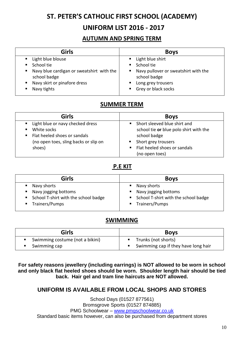#### **ST. PETER'S CATHOLIC FIRST SCHOOL (ACADEMY)**

#### **UNIFORM LIST 2016 - 2017**

#### **AUTUMN AND SPRING TERM**

| <b>Girls</b>                                              | <b>Boys</b>                                               |
|-----------------------------------------------------------|-----------------------------------------------------------|
| Light blue blouse                                         | Light blue shirt<br>$\mathbf{m}$ .                        |
| School tie                                                | School tie<br>$\blacksquare$                              |
| Navy blue cardigan or sweatshirt with the<br>school badge | Navy pullover or sweatshirt with the<br>п<br>school badge |
| Navy skirt or pinafore dress                              | Long grey trousers                                        |
| Navy tights                                               | Grey or black socks<br>$\blacksquare$                     |

#### **SUMMER TERM**

| <b>Girls</b>                                                                      | <b>Boys</b>                                                                           |
|-----------------------------------------------------------------------------------|---------------------------------------------------------------------------------------|
| ■ Light blue or navy checked dress<br>White socks<br>٠                            | Short sleeved blue shirt and<br>school tie or blue polo shirt with the                |
| ■ Flat heeled shoes or sandals<br>(no open toes, sling backs or slip on<br>shoes) | school badge<br>Short grey trousers<br>Flat heeled shoes or sandals<br>(no open toes) |

#### **P.E KIT**

| Girls                                                            | <b>Boys</b>                                                    |
|------------------------------------------------------------------|----------------------------------------------------------------|
| • Navy shorts                                                    | Navy shorts                                                    |
| ■ Navy jogging bottoms<br>■ School T-shirt with the school badge | ■ Navy jogging bottoms<br>School T-shirt with the school badge |
| ■ Trainers/Pumps                                                 | ■ Trainers/Pumps                                               |

#### **SWIMMING**

| <b>Girls</b>                    | <b>Boys</b>                         |
|---------------------------------|-------------------------------------|
| Swimming costume (not a bikini) | Trunks (not shorts)                 |
| Swimming cap                    | Swimming cap if they have long hair |

**For safety reasons jewellery (including earrings) is NOT allowed to be worn in school and only black flat heeled shoes should be worn. Shoulder length hair should be tied back. Hair gel and tram line haircuts are NOT allowed.**

#### **UNIFORM IS AVAILABLE FROM LOCAL SHOPS AND STORES**

School Days (01527 877561) Bromsgrove Sports (01527 874885) PMG Schoolwear - [www.pmgschoolwear.co.uk](http://www.pmgschoolwear.co.uk/) Standard basic items however, can also be purchased from department stores